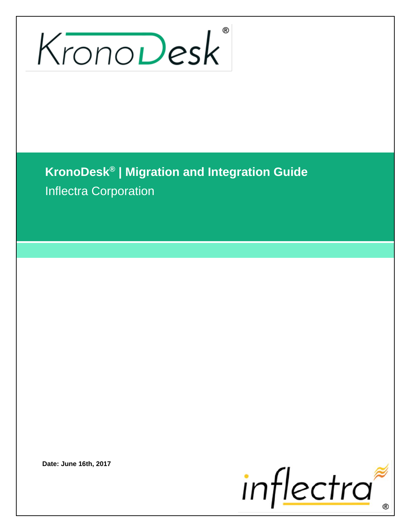# KronoDesk

**KronoDesk® | Migration and Integration Guide** Inflectra Corporation

**Date: June 16th, 2017**

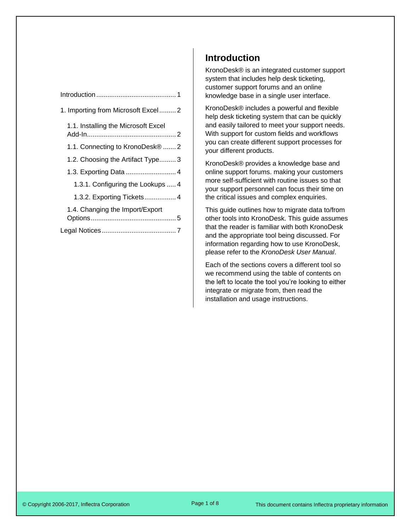| 1. Importing from Microsoft Excel 2         |  |
|---------------------------------------------|--|
| 1.1. Installing the Microsoft Excel         |  |
| 1.1. Connecting to KronoDesk <sup>®</sup> 2 |  |
| 1.2. Choosing the Artifact Type 3           |  |
|                                             |  |
| 1.3.1. Configuring the Lookups  4           |  |
| 1.3.2. Exporting Tickets 4                  |  |
| 1.4. Changing the Import/Export             |  |
|                                             |  |

## <span id="page-1-0"></span>**Introduction**

KronoDesk® is an integrated customer support system that includes help desk ticketing, customer support forums and an online knowledge base in a single user interface.

KronoDesk® includes a powerful and flexible help desk ticketing system that can be quickly and easily tailored to meet your support needs. With support for custom fields and workflows you can create different support processes for your different products.

KronoDesk® provides a knowledge base and online support forums. making your customers more self-sufficient with routine issues so that your support personnel can focus their time on the critical issues and complex enquiries.

This guide outlines how to migrate data to/from other tools into KronoDesk. This guide assumes that the reader is familiar with both KronoDesk and the appropriate tool being discussed. For information regarding how to use KronoDesk, please refer to the *KronoDesk User Manual*.

Each of the sections covers a different tool so we recommend using the table of contents on the left to locate the tool you're looking to either integrate or migrate from, then read the installation and usage instructions.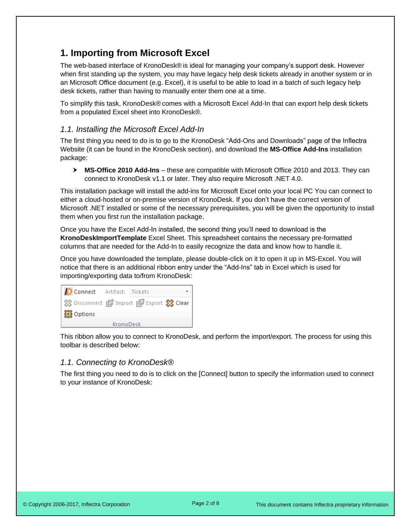# <span id="page-2-0"></span>**1. Importing from Microsoft Excel**

The web-based interface of KronoDesk® is ideal for managing your company's support desk. However when first standing up the system, you may have legacy help desk tickets already in another system or in an Microsoft Office document (e.g. Excel), it is useful to be able to load in a batch of such legacy help desk tickets, rather than having to manually enter them one at a time.

To simplify this task, KronoDesk® comes with a Microsoft Excel Add-In that can export help desk tickets from a populated Excel sheet into KronoDesk®.

## <span id="page-2-1"></span>*6B1.1. Installing the Microsoft Excel Add-In*

The first thing you need to do is to go to the KronoDesk "Add-Ons and Downloads" page of the Inflectra Website (it can be found in the KronoDesk section), and download the **MS-Office Add-Ins** installation package:

 **MS-Office 2010 Add-Ins** – these are compatible with Microsoft Office 2010 and 2013. They can connect to KronoDesk v1.1 or later. They also require Microsoft .NET 4.0.

This installation package will install the add-ins for Microsoft Excel onto your local PC You can connect to either a cloud-hosted or on-premise version of KronoDesk. If you don't have the correct version of Microsoft .NET installed or some of the necessary prerequisites, you will be given the opportunity to install them when you first run the installation package.

Once you have the Excel Add-In installed, the second thing you'll need to download is the **KronoDeskImportTemplate** Excel Sheet. This spreadsheet contains the necessary pre-formatted columns that are needed for the Add-In to easily recognize the data and know how to handle it.

Once you have downloaded the template, please double-click on it to open it up in MS-Excel. You will notice that there is an additional ribbon entry under the "Add-Ins" tab in Excel which is used for importing/exporting data to/from KronoDesk:



This ribbon allow you to connect to KronoDesk, and perform the import/export. The process for using this toolbar is described below:

#### <span id="page-2-2"></span>*7B1.1. Connecting to KronoDesk®*

The first thing you need to do is to click on the [Connect] button to specify the information used to connect to your instance of KronoDesk: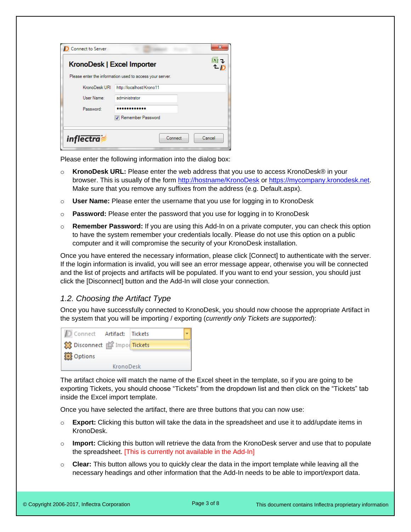| Connect to Server          |                                                          | x      |
|----------------------------|----------------------------------------------------------|--------|
| KronoDesk   Excel Importer |                                                          |        |
|                            | Please enter the information used to access your server. |        |
| KronoDesk URI              | http://localhost/Krono11                                 |        |
| User Name:                 | administrator                                            |        |
| Password:                  |                                                          |        |
|                            | Remember Password                                        |        |
|                            |                                                          |        |
| <i>inflectra</i>           | Connect                                                  | Cancel |

Please enter the following information into the dialog box:

- o **KronoDesk URL:** Please enter the web address that you use to access KronoDesk® in your browser. This is usually of the form<http://hostname/KronoDesk> or [https://mycompany.kronodesk.net.](https://mycompany.kronodesk.net/) Make sure that you remove any suffixes from the address (e.g. Default.aspx).
- o **User Name:** Please enter the username that you use for logging in to KronoDesk
- o **Password:** Please enter the password that you use for logging in to KronoDesk
- o **Remember Password:** If you are using this Add-In on a private computer, you can check this option to have the system remember your credentials locally. Please do not use this option on a public computer and it will compromise the security of your KronoDesk installation.

Once you have entered the necessary information, please click [Connect] to authenticate with the server. If the login information is invalid, you will see an error message appear, otherwise you will be connected and the list of projects and artifacts will be populated. If you want to end your session, you should just click the [Disconnect] button and the Add-In will close your connection.

#### <span id="page-3-0"></span>*8B1.2. Choosing the Artifact Type*

Once you have successfully connected to KronoDesk, you should now choose the appropriate Artifact in the system that you will be importing / exporting (*currently only Tickets are supported*):

| Connect Artifact:   Tickets   |           |  |
|-------------------------------|-----------|--|
| Sta Disconnect   Impo Tickets |           |  |
| <b>Options</b>                |           |  |
|                               | KronoDesk |  |

The artifact choice will match the name of the Excel sheet in the template, so if you are going to be exporting Tickets, you should choose "Tickets" from the dropdown list and then click on the "Tickets" tab inside the Excel import template.

Once you have selected the artifact, there are three buttons that you can now use:

- o **Export:** Clicking this button will take the data in the spreadsheet and use it to add/update items in KronoDesk.
- o **Import:** Clicking this button will retrieve the data from the KronoDesk server and use that to populate the spreadsheet. [This is currently not available in the Add-In]
- o **Clear:** This button allows you to quickly clear the data in the import template while leaving all the necessary headings and other information that the Add-In needs to be able to import/export data.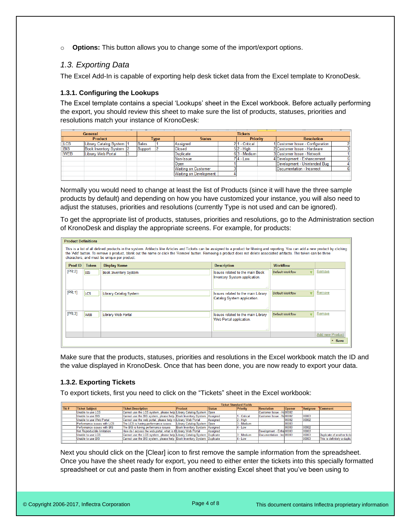o **Options:** This button allows you to change some of the import/export options.

### <span id="page-4-0"></span>*9B1.3. Exporting Data*

The Excel Add-In is capable of exporting help desk ticket data from the Excel template to KronoDesk.

#### <span id="page-4-1"></span>**1.3.1. Configuring the Lookups**

The Excel template contains a special 'Lookups' sheet in the Excel workbook. Before actually performing the export, you should review this sheet to make sure the list of products, statuses, priorities and resolutions match your instance of KronoDesk:

| General     |                           |  | <b>Tickets</b>                                  |  |                               |  |                   |  |                                  |  |
|-------------|---------------------------|--|-------------------------------------------------|--|-------------------------------|--|-------------------|--|----------------------------------|--|
|             | <b>Product</b>            |  | <b>Priority</b><br><b>Status</b><br><b>Type</b> |  |                               |  | <b>Resolution</b> |  |                                  |  |
| <b>LCS</b>  | Library Catalog System  1 |  | Sales                                           |  | <b>Assigned</b>               |  | 211 - Critical    |  | 1 Customer Issue - Configuration |  |
| <b>TBIS</b> | Book Inventory System  2  |  | Support                                         |  | <b>Closed</b>                 |  | $5 2 -$ High      |  | 2 Customer Issue - Hardware      |  |
| <b>WEB</b>  | Library Web Portal        |  |                                                 |  | Duplicate                     |  | 63 - Medium       |  | 3 Customer Issue - Network       |  |
|             |                           |  |                                                 |  | Non-Issue                     |  | $7 4 - Low$       |  | 4 Development - Enhancement      |  |
|             |                           |  |                                                 |  | Open                          |  |                   |  | Development - Unintended Bug     |  |
|             |                           |  |                                                 |  | <b>Waiting on Customer</b>    |  |                   |  | Documentation - Incorrect        |  |
|             |                           |  |                                                 |  | <b>Waiting on Development</b> |  |                   |  |                                  |  |
|             |                           |  |                                                 |  |                               |  |                   |  |                                  |  |

Normally you would need to change at least the list of Products (since it will have the three sample products by default) and depending on how you have customized your instance, you will also need to adjust the statuses, priorities and resolutions (currently Type is not used and can be ignored).

To get the appropriate list of products, statuses, priorities and resolutions, go to the Administration section of KronoDesk and display the appropriate screens. For example, for products:

|                                                                                                                                                                                                                        | <b>Product Definitions</b>                                                              |            |                              |                                        |                  |                        |  |  |  |
|------------------------------------------------------------------------------------------------------------------------------------------------------------------------------------------------------------------------|-----------------------------------------------------------------------------------------|------------|------------------------------|----------------------------------------|------------------|------------------------|--|--|--|
| This is a list of all defined products in the system. Artifacts like Articles and Tickets can be assigned to a product for filtering and reporting. You can add a new product by clicking                              |                                                                                         |            |                              |                                        |                  |                        |  |  |  |
| the 'Add' button. To remove a product, blank out the name or click the 'Remove' button. Removing a product does not delete associated artifacts. The token can be three<br>characters, and must be unique per product. |                                                                                         |            |                              |                                        |                  |                        |  |  |  |
|                                                                                                                                                                                                                        |                                                                                         |            |                              |                                        |                  |                        |  |  |  |
|                                                                                                                                                                                                                        | Prod ID<br><b>Description</b><br><b>Token</b><br><b>Display Name</b><br><b>Workflow</b> |            |                              |                                        |                  |                        |  |  |  |
| [PR:2]                                                                                                                                                                                                                 |                                                                                         | <b>BIS</b> | <b>Book Inventory System</b> | <b>Issues related to the main Book</b> | Default Workflow | Remove                 |  |  |  |
|                                                                                                                                                                                                                        |                                                                                         |            |                              | Inventory System application.          |                  |                        |  |  |  |
|                                                                                                                                                                                                                        |                                                                                         |            |                              |                                        |                  |                        |  |  |  |
|                                                                                                                                                                                                                        |                                                                                         |            |                              |                                        |                  |                        |  |  |  |
| [PR:1]                                                                                                                                                                                                                 |                                                                                         | <b>LCS</b> | Library Catalog System       | Issues related to the main Library     | Default Workflow | Remove                 |  |  |  |
|                                                                                                                                                                                                                        |                                                                                         |            |                              | Catalog System application.            |                  |                        |  |  |  |
|                                                                                                                                                                                                                        |                                                                                         |            |                              |                                        |                  |                        |  |  |  |
|                                                                                                                                                                                                                        |                                                                                         |            |                              |                                        |                  |                        |  |  |  |
| [PR:3]                                                                                                                                                                                                                 |                                                                                         | <b>WEB</b> | Library Web Portal           | Issues related to the main Library     | Default Workflow | Remove                 |  |  |  |
|                                                                                                                                                                                                                        |                                                                                         |            |                              | Web Portal application.                |                  |                        |  |  |  |
|                                                                                                                                                                                                                        |                                                                                         |            |                              |                                        |                  |                        |  |  |  |
|                                                                                                                                                                                                                        |                                                                                         |            |                              |                                        |                  |                        |  |  |  |
|                                                                                                                                                                                                                        |                                                                                         |            |                              |                                        |                  | <b>Add new Product</b> |  |  |  |
|                                                                                                                                                                                                                        |                                                                                         |            |                              |                                        |                  | $\cdot$ Save           |  |  |  |

Make sure that the products, statuses, priorities and resolutions in the Excel workbook match the ID and the value displayed in KronoDesk. Once that has been done, you are now ready to export your data.

#### <span id="page-4-2"></span>*24B8***1.3.2. Exporting Tickets**

To export tickets, first you need to click on the "Tickets" sheet in the Excel workbook:

|      | <b>Ticket Standard Fields</b> |                                                                         |                                |               |              |                           |               |          |                             |
|------|-------------------------------|-------------------------------------------------------------------------|--------------------------------|---------------|--------------|---------------------------|---------------|----------|-----------------------------|
| Tkt# | Ticket Subject                | <b>Ticket Description</b>                                               | Product                        | <b>Status</b> | Priority     | Resolution                | <b>Opener</b> | Assignee | <b>Comment</b>              |
|      | Unable to use LCS             | Cannot use the LCS system, please help Library Catalog System Open      |                                |               |              | Customer Issue - Ha00002  |               |          |                             |
|      | Unable to use BIS             | Cannot use the BIS system, please help Book Inventory System Assigned   |                                |               | 1 - Critical | Customer Issue - Nd00002  |               | 00003    |                             |
|      | Unable to use Web Portal      | Cannot use the web portal, please help m Library Web Portal             |                                | Assigned      | 2 - High     |                           | 100002        | 00002    |                             |
|      | Performance issues with LCS   | The LCS is having performance issues                                    | Library Catalog System Open    |               | 3 - Medium   |                           | 100003        |          |                             |
|      | Performance issues with BIS   | The BIS is having performance issues                                    | Book Inventory System Assigned |               | $4 - Low$    |                           | 00003         | 00002    |                             |
|      | Not Reproducible limitation   | How do I access the web portal, what is the library Web Portal          |                                | Assigned      |              | Development - Enha 00003  |               | 00003    |                             |
|      | Unable to use LCS             | Cannot use the LCS system, please help Library Catalog System Duplicate |                                |               | 3 - Medium   | Documentation - Incl00003 |               | 00003    | Duplicate of another tick   |
|      | Unable to use BIS             | Cannot use the BIS system, please help Book Inventory System Duplicate  |                                |               | $4 - Low$    |                           |               | 00003    | This is definitely a duplic |
|      |                               |                                                                         |                                |               |              |                           |               |          |                             |

Next you should click on the [Clear] icon to first remove the sample information from the spreadsheet. Once you have the sheet ready for export, you need to either enter the tickets into this specially formatted spreadsheet or cut and paste them in from another existing Excel sheet that you've been using to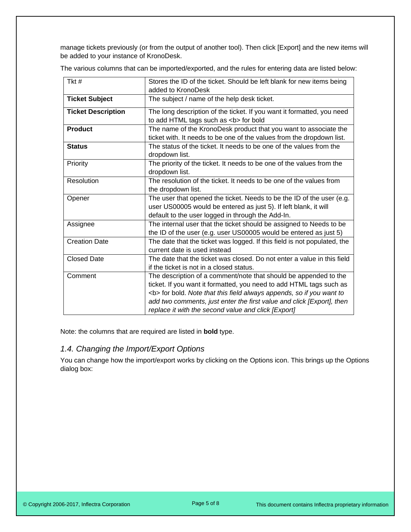manage tickets previously (or from the output of another tool). Then click [Export] and the new items will be added to your instance of KronoDesk.

The various columns that can be imported/exported, and the rules for entering data are listed below:

| Tkt#                      | Stores the ID of the ticket. Should be left blank for new items being<br>added to KronoDesk                                                                                                                                                                                                                                                           |  |  |  |  |  |
|---------------------------|-------------------------------------------------------------------------------------------------------------------------------------------------------------------------------------------------------------------------------------------------------------------------------------------------------------------------------------------------------|--|--|--|--|--|
| <b>Ticket Subject</b>     | The subject / name of the help desk ticket.                                                                                                                                                                                                                                                                                                           |  |  |  |  |  |
| <b>Ticket Description</b> | The long description of the ticket. If you want it formatted, you need<br>to add HTML tags such as <b> for bold</b>                                                                                                                                                                                                                                   |  |  |  |  |  |
| <b>Product</b>            | The name of the KronoDesk product that you want to associate the<br>ticket with. It needs to be one of the values from the dropdown list.                                                                                                                                                                                                             |  |  |  |  |  |
| <b>Status</b>             | The status of the ticket. It needs to be one of the values from the<br>dropdown list.                                                                                                                                                                                                                                                                 |  |  |  |  |  |
| Priority                  | The priority of the ticket. It needs to be one of the values from the<br>dropdown list.                                                                                                                                                                                                                                                               |  |  |  |  |  |
| Resolution                | The resolution of the ticket. It needs to be one of the values from<br>the dropdown list.                                                                                                                                                                                                                                                             |  |  |  |  |  |
| Opener                    | The user that opened the ticket. Needs to be the ID of the user (e.g.<br>user US00005 would be entered as just 5). If left blank, it will<br>default to the user logged in through the Add-In.                                                                                                                                                        |  |  |  |  |  |
| Assignee                  | The internal user that the ticket should be assigned to Needs to be<br>the ID of the user (e.g. user US00005 would be entered as just 5)                                                                                                                                                                                                              |  |  |  |  |  |
| <b>Creation Date</b>      | The date that the ticket was logged. If this field is not populated, the<br>current date is used instead                                                                                                                                                                                                                                              |  |  |  |  |  |
| <b>Closed Date</b>        | The date that the ticket was closed. Do not enter a value in this field<br>if the ticket is not in a closed status.                                                                                                                                                                                                                                   |  |  |  |  |  |
| Comment                   | The description of a comment/note that should be appended to the<br>ticket. If you want it formatted, you need to add HTML tags such as<br><b> for bold. Note that this field always appends, so if you want to<br/>add two comments, just enter the first value and click [Export], then<br/>replace it with the second value and click [Export]</b> |  |  |  |  |  |

Note: the columns that are required are listed in **bold** type.

## <span id="page-5-0"></span>*1.4. Changing the Import/Export Options*

You can change how the import/export works by clicking on the Options icon. This brings up the Options dialog box: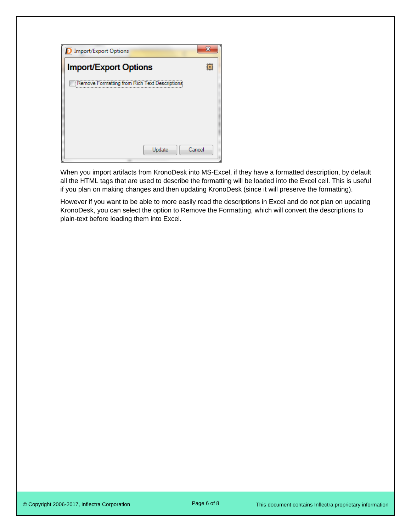| <b>D</b> Import/Export Options                | х |
|-----------------------------------------------|---|
| <b>Import/Export Options</b>                  | 蠶 |
| Remove Formatting from Rich Text Descriptions |   |
|                                               |   |
|                                               |   |
|                                               |   |
| Cancel<br>Update                              |   |
|                                               |   |

When you import artifacts from KronoDesk into MS-Excel, if they have a formatted description, by default all the HTML tags that are used to describe the formatting will be loaded into the Excel cell. This is useful if you plan on making changes and then updating KronoDesk (since it will preserve the formatting).

However if you want to be able to more easily read the descriptions in Excel and do not plan on updating KronoDesk, you can select the option to Remove the Formatting, which will convert the descriptions to plain-text before loading them into Excel.